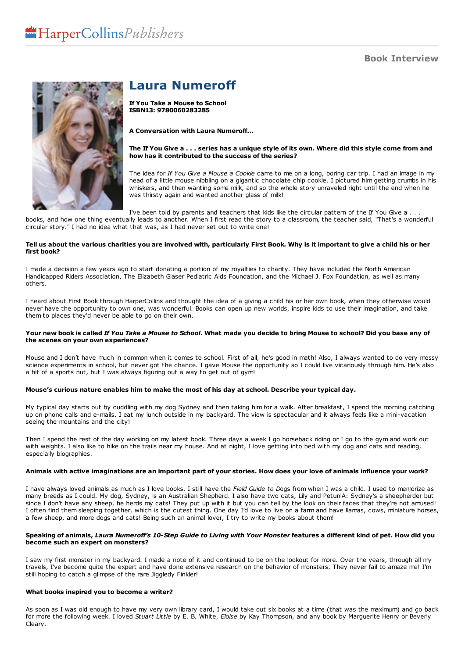## **Book Interview**



# **Laura Numeroff**

**If You Take a Mouse to School ISBN13: 9780060283285**

**A Conversation with Laura Numeroff...**

#### The If You Give a . . . series has a unique style of its own. Where did this style come from and **how has it contributed to the success of the series?**

The idea for *If You Give a Mouse a Cookie* came to me on a long, boring car trip. I had an image in my head of a little mouse nibbling on a gigantic chocolate chip cookie. I pictured him getting crumbs in his whiskers, and then wanting some milk, and so the whole story unraveled right until the end when he was thirsty again and wanted another glass of milk!

I've been told by parents and teachers that kids like the circular pattern of the If You Give a . . . books, and how one thing eventually leads to another. When I first read the story to a classroom, the teacher said, "That's a wonderful circular story." I had no idea what that was, as I had never set out to write one!

#### Tell us about the various charities you are involved with, particularly First Book. Why is it important to give a child his or her **first book?**

I made a decision a few years ago to start donating a portion of my royalties to charity. They have included the North American Handicapped Riders Association, The Elizabeth Glaser Pediatric Aids Foundation, and the Michael J. Fox Foundation, as well as many others.

I heard about First Book through HarperCollins and thought the idea of a giving a child his or her own book, when they otherwise would never have the opportunity to own one, was wonderful. Books can open up new worlds, inspire kids to use their imagination, and take them to places they'd never be able to go on their own.

#### Your new book is called If You Take a Mouse to School. What made you decide to bring Mouse to school? Did you base any of **the scenes on your own experiences?**

Mouse and I don't have much in common when it comes to school. First of all, he's good in math! Also, I always wanted to do very messy science experiments in school, but never got the chance. I gave Mouse the opportunity so I could live vicariously through him. He's also a bit of a sports nut, but I was always figuring out a way to get out of gym!

#### Mouse's curious nature enables him to make the most of his day at school. Describe your typical day.

My typical day starts out by cuddling with my dog Sydney and then taking him for a walk. After breakfast, I spend the morning catching up on phone calls and e-mails. I eat my lunch outside in my backyard. The view is spectacular and it always feels like a mini-vacation seeing the mountains and the city!

Then I spend the rest of the day working on my latest book. Three days a week I go horseback riding or I go to the gym and work out with weights. I also like to hike on the trails near my house. And at night, I love getting into bed with my dog and cats and reading, especially biographies.

#### Animals with active imaginations are an important part of your stories. How does your love of animals influence your work?

I have always loved animals as much as I love books. I still have the Field Guide to Dogs from when I was a child. I used to memorize as many breeds as I could. My dog, Sydney, is an Australian Shepherd. I also have two ca since I don't have any sheep, he herds my cats! They put up with it but you can tell by the look on their faces that they're not amused! I often find them sleeping together, which is the cutest thing. One day I'd love to live on a farm and have llamas, cows, miniature horses, a few sheep, and more dogs and cats! Being such an animal lover, I try to write my books about them!

#### Speaking of animals, Laura Numeroff's 10-Step Guide to Living with Your Monster features a different kind of pet. How did you **become such an expert on monsters?**

I saw my first monster in my backyard. I made a note of it and continued to be on the lookout for more. Over the years, through all my travels, I've become quite the expert and have done extensive research on the behavior of monsters. They never fail to amaze me! I'm still hoping to catch a glimpse of the rare Jiggledy Finkler!

#### **What books inspired you to become a writer?**

As soon as I was old enough to have my very own library card, I would take out six books at a time (that was the maximum) and go back for more the following week. I loved *Stuart Little* by E. B. White, *Eloise* by Kay Thompson, and any book by Marguerite Henry or Beverly Cleary.